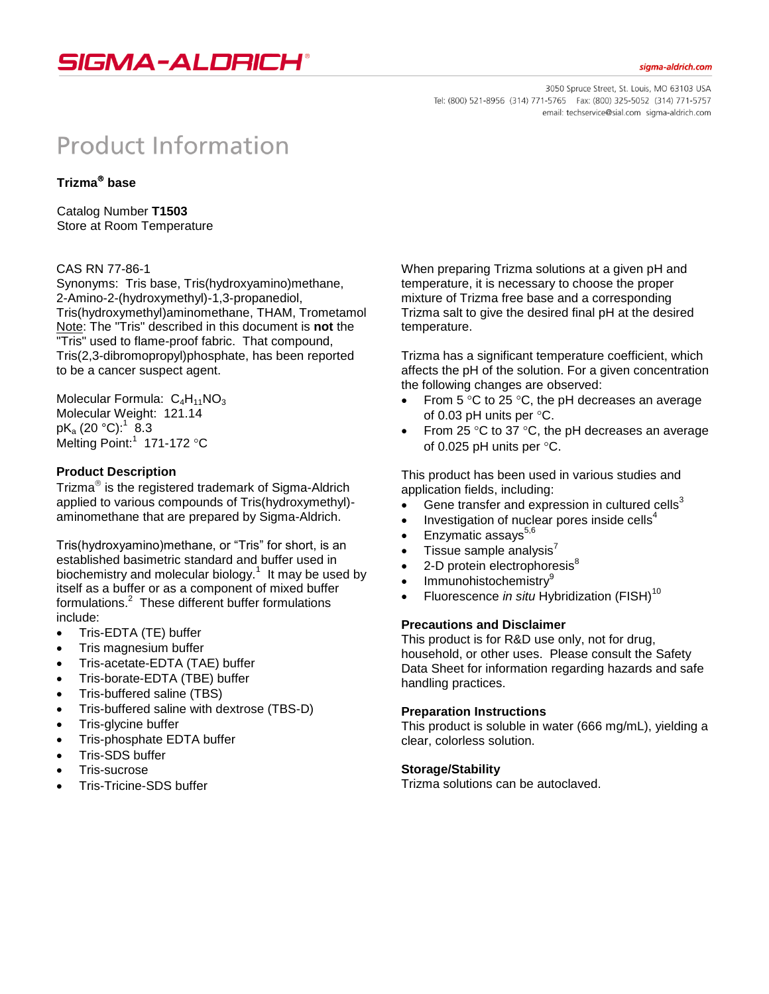

3050 Spruce Street, St. Louis, MO 63103 USA Tel: (800) 521-8956 (314) 771-5765 Fax: (800) 325-5052 (314) 771-5757 email: techservice@sial.com sigma-aldrich.com

# **Product Information**

## **Trizma base**

Catalog Number **T1503** Store at Room Temperature

#### CAS RN 77-86-1

Synonyms: Tris base, Tris(hydroxyamino)methane, 2-Amino-2-(hydroxymethyl)-1,3-propanediol, Tris(hydroxymethyl)aminomethane, THAM, Trometamol Note: The "Tris" described in this document is **not** the "Tris" used to flame-proof fabric. That compound, Tris(2,3-dibromopropyl)phosphate, has been reported to be a cancer suspect agent.

Molecular Formula:  $C_4H_{11}NO_3$ Molecular Weight: 121.14 pK $_{\rm a}$  (20 °C): $^1$   $\rm \stackrel{>}{8}.3$ Melting Point:<sup>1</sup> 171-172 °C

#### **Product Description**

Trizma $^{\circledR}$  is the registered trademark of Sigma-Aldrich applied to various compounds of Tris(hydroxymethyl) aminomethane that are prepared by Sigma-Aldrich.

Tris(hydroxyamino)methane, or "Tris" for short, is an established basimetric standard and buffer used in biochemistry and molecular biology. $1$  It may be used by itself as a buffer or as a component of mixed buffer formulations.<sup>2</sup> These different buffer formulations include:

- Tris-EDTA (TE) buffer
- Tris magnesium buffer
- Tris-acetate-EDTA (TAE) buffer
- Tris-borate-EDTA (TBE) buffer
- Tris-buffered saline (TBS)
- Tris-buffered saline with dextrose (TBS-D)
- Tris-glycine buffer
- Tris-phosphate EDTA buffer
- **•** Tris-SDS buffer
- Tris-sucrose
- Tris-Tricine-SDS buffer

When preparing Trizma solutions at a given pH and temperature, it is necessary to choose the proper mixture of Trizma free base and a corresponding Trizma salt to give the desired final pH at the desired temperature.

Trizma has a significant temperature coefficient, which affects the pH of the solution. For a given concentration the following changes are observed:

- From 5  $\degree$ C to 25  $\degree$ C, the pH decreases an average of 0.03 pH units per  $°C$ .
- From 25 $\degree$ C to 37 $\degree$ C, the pH decreases an average of 0.025 pH units per  $°C$ .

This product has been used in various studies and application fields, including:

- Gene transfer and expression in cultured cells $3$
- $\bullet$  Investigation of nuclear pores inside cells<sup>4</sup>
- Enzymatic assays $5,6$
- $\bullet$  Tissue sample analysis'
- 2-D protein electrophoresis<sup>8</sup>
- Immunohistochemistry<sup>9</sup>
- Fluorescence *in situ* Hybridization (FISH)<sup>10</sup>

### **Precautions and Disclaimer**

This product is for R&D use only, not for drug, household, or other uses. Please consult the Safety Data Sheet for information regarding hazards and safe handling practices.

### **Preparation Instructions**

This product is soluble in water (666 mg/mL), yielding a clear, colorless solution.

### **Storage/Stability**

Trizma solutions can be autoclaved.